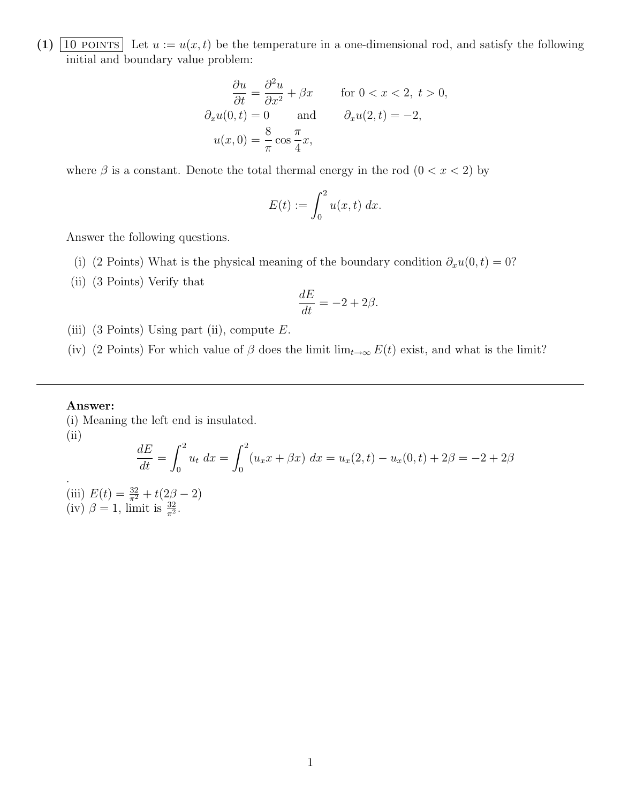(1)  $\boxed{10 \text{ POINTS}}$  Let  $u := u(x, t)$  be the temperature in a one-dimensional rod, and satisfy the following initial and boundary value problem:

$$
\frac{\partial u}{\partial t} = \frac{\partial^2 u}{\partial x^2} + \beta x \quad \text{for } 0 < x < 2, t > 0,
$$
  

$$
\partial_x u(0, t) = 0 \quad \text{and} \quad \partial_x u(2, t) = -2,
$$
  

$$
u(x, 0) = \frac{8}{\pi} \cos \frac{\pi}{4} x,
$$

where  $\beta$  is a constant. Denote the total thermal energy in the rod  $(0 < x < 2)$  by

$$
E(t) := \int_0^2 u(x, t) \, dx.
$$

Answer the following questions.

- (i) (2 Points) What is the physical meaning of the boundary condition  $\partial_x u(0, t) = 0$ ?
- (ii) (3 Points) Verify that

$$
\frac{dE}{dt} = -2 + 2\beta.
$$

- (iii) (3 Points) Using part (ii), compute  $E$ .
- (iv) (2 Points) For which value of  $\beta$  does the limit lim<sub>t→∞</sub>  $E(t)$  exist, and what is the limit?

#### Answer:

.

(i) Meaning the left end is insulated.  $(ii)$ 

$$
\frac{dE}{dt} = \int_0^2 u_t \, dx = \int_0^2 (u_x x + \beta x) \, dx = u_x(2, t) - u_x(0, t) + 2\beta = -2 + 2\beta
$$

(iii)  $E(t) = \frac{32}{\pi^2} + t(2\beta - 2)$ (iv)  $\beta = 1$ , limit is  $\frac{32}{\pi^2}$ .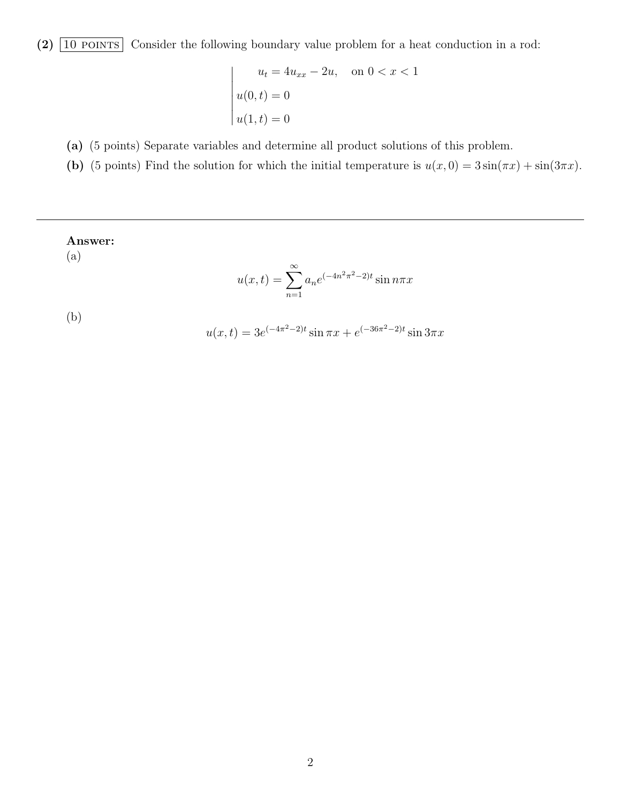(2)  $\boxed{10 \text{ POINTS}}$  Consider the following boundary value problem for a heat conduction in a rod:

 

 $\vert$ 

$$
u_t = 4u_{xx} - 2u, \text{ on } 0 < x < 1
$$
  
 
$$
u(0, t) = 0
$$
  
 
$$
u(1, t) = 0
$$

(a) (5 points) Separate variables and determine all product solutions of this problem.

(b) (5 points) Find the solution for which the initial temperature is  $u(x, 0) = 3 \sin(\pi x) + \sin(3\pi x)$ .

Answer:  
\n(a)  
\n
$$
u(x,t) = \sum_{n=1}^{\infty} a_n e^{(-4n^2 \pi^2 - 2)t} \sin n \pi x
$$
\n(b)  
\n
$$
u(x,t) = 3e^{(-4\pi^2 - 2)t} \sin \pi x + e^{(-36\pi^2 - 2)t} \sin 3\pi x
$$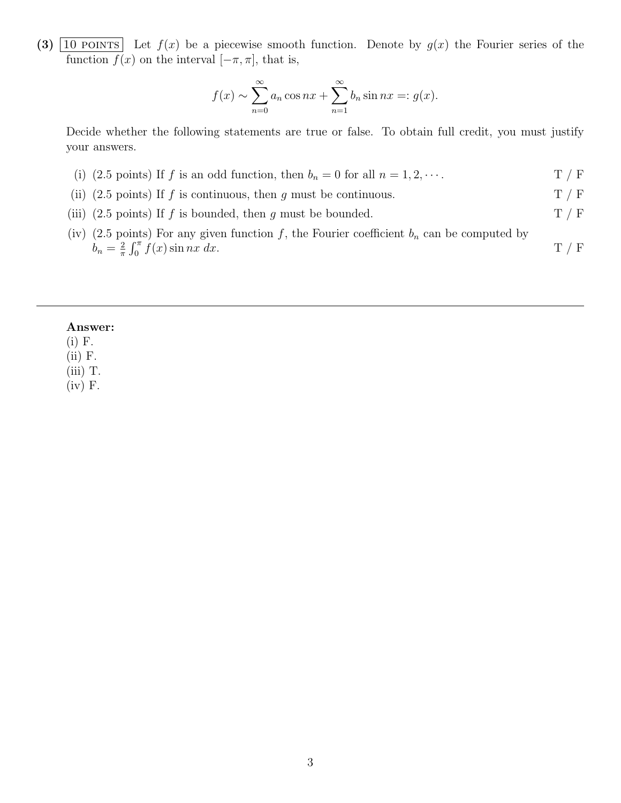(3)  $\boxed{10 \text{ POINTS}}$  Let  $f(x)$  be a piecewise smooth function. Denote by  $g(x)$  the Fourier series of the function  $f(x)$  on the interval  $[-\pi, \pi]$ , that is,

$$
f(x) \sim \sum_{n=0}^{\infty} a_n \cos nx + \sum_{n=1}^{\infty} b_n \sin nx =: g(x).
$$

Decide whether the following statements are true or false. To obtain full credit, you must justify your answers.

- (i) (2.5 points) If f is an odd function, then  $b_n = 0$  for all  $n = 1, 2, \cdots$ . T / F
- (ii) (2.5 points) If f is continuous, then g must be continuous.  $T / F$
- (iii) (2.5 points) If f is bounded, then g must be bounded.  $T / F$
- (iv) (2.5 points) For any given function f, the Fourier coefficient  $b_n$  can be computed by  $b_n = \frac{2}{\pi}$  $\frac{2}{\pi} \int_0^{\pi} f(x) \sin nx \, dx.$  T / F

### Answer:

(i) F.

(ii) F.

(iii) T.

(iv) F.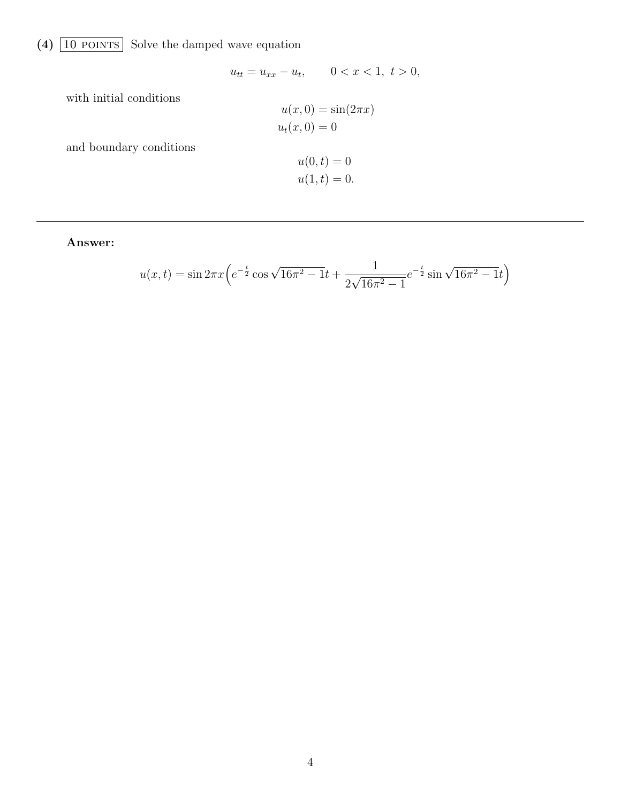# (4)  $\boxed{10 \text{ POINTS}}$  Solve the damped wave equation

$$
u_{tt} = u_{xx} - u_t, \t 0 < x < 1, t > 0,
$$
  

$$
u(x, 0) = \sin(2\pi x)
$$
  

$$
u_t(x, 0) = 0
$$

and boundary conditions

with initial conditions

$$
u(0, t) = 0
$$
  

$$
u(1, t) = 0.
$$

Answer:

$$
u(x,t) = \sin 2\pi x \left( e^{-\frac{t}{2}} \cos \sqrt{16\pi^2 - 1}t + \frac{1}{2\sqrt{16\pi^2 - 1}} e^{-\frac{t}{2}} \sin \sqrt{16\pi^2 - 1}t \right)
$$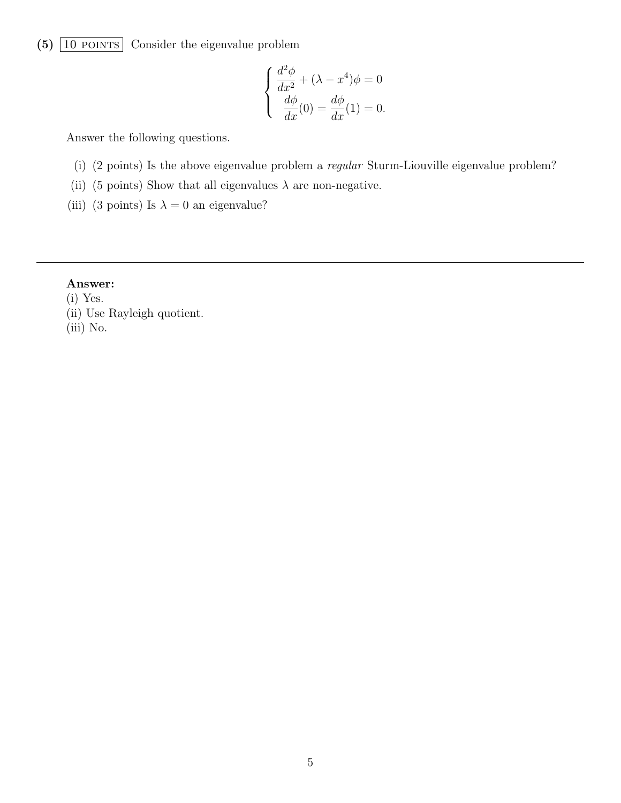# $(5)$   $\boxed{10$  POINTS Consider the eigenvalue problem

$$
\begin{cases}\n\frac{d^2\phi}{dx^2} + (\lambda - x^4)\phi = 0\\ \n\frac{d\phi}{dx}(0) = \frac{d\phi}{dx}(1) = 0.\n\end{cases}
$$

Answer the following questions.

- (i) (2 points) Is the above eigenvalue problem a regular Sturm-Liouville eigenvalue problem?
- (ii) (5 points) Show that all eigenvalues  $\lambda$  are non-negative.
- (iii) (3 points) Is  $\lambda = 0$  an eigenvalue?

## Answer:

- (i) Yes.
- (ii) Use Rayleigh quotient.
- (iii) No.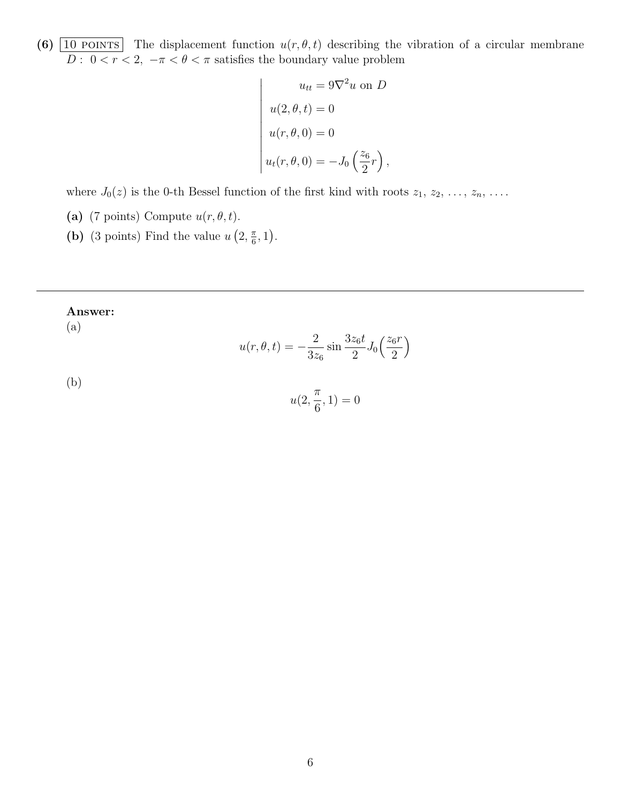(6)  $\boxed{10 \text{ POINTS}}$  The displacement function  $u(r, \theta, t)$  describing the vibration of a circular membrane  $D: 0 < r < 2, -\pi < \theta < \pi$  satisfies the boundary value problem

$$
u_{tt} = 9\nabla^2 u \text{ on } D
$$

$$
u(2, \theta, t) = 0
$$

$$
u(r, \theta, 0) = 0
$$

$$
u_t(r, \theta, 0) = -J_0 \left(\frac{z_6}{2}r\right),
$$

where  $J_0(z)$  is the 0-th Bessel function of the first kind with roots  $z_1, z_2, \ldots, z_n, \ldots$ .

- (a) (7 points) Compute  $u(r, \theta, t)$ .
- (b) (3 points) Find the value  $u(2, \frac{\pi}{6})$  $\frac{\pi}{6}, 1$ ).

### Answer:

(a)

$$
u(r, \theta, t) = -\frac{2}{3z_6} \sin \frac{3z_6 t}{2} J_0\left(\frac{z_6 r}{2}\right)
$$

(b)

$$
u(2,\frac{\pi}{6},1)=0
$$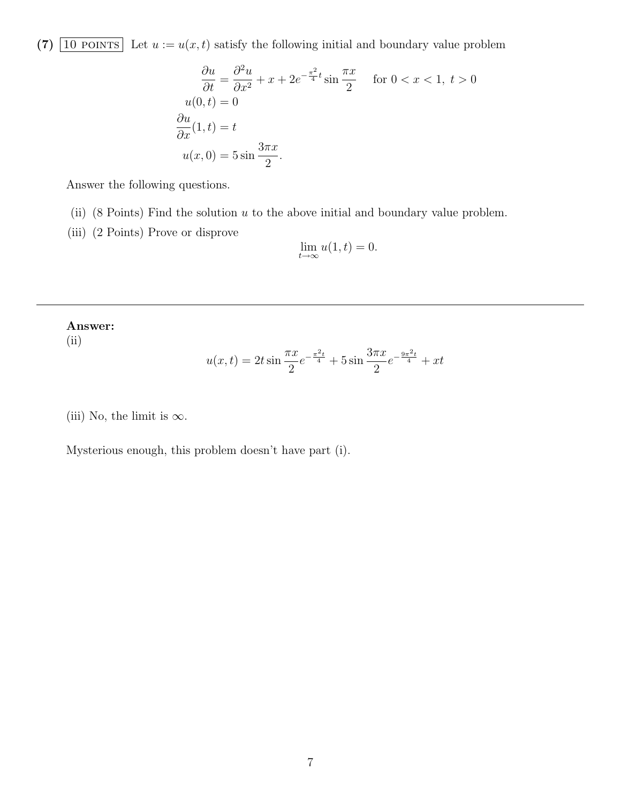(7)  $\boxed{10 \text{ POINTS}}$  Let  $u := u(x, t)$  satisfy the following initial and boundary value problem

$$
\frac{\partial u}{\partial t} = \frac{\partial^2 u}{\partial x^2} + x + 2e^{-\frac{\pi^2}{4}t} \sin \frac{\pi x}{2} \quad \text{for } 0 < x < 1, \ t > 0
$$
\n
$$
u(0, t) = 0
$$
\n
$$
\frac{\partial u}{\partial x}(1, t) = t
$$
\n
$$
u(x, 0) = 5 \sin \frac{3\pi x}{2}.
$$

Answer the following questions.

(ii) (8 Points) Find the solution  $u$  to the above initial and boundary value problem.

(iii) (2 Points) Prove or disprove

$$
\lim_{t \to \infty} u(1, t) = 0.
$$

### Answer:

(ii)

$$
u(x,t) = 2t \sin \frac{\pi x}{2} e^{-\frac{\pi^2 t}{4}} + 5 \sin \frac{3\pi x}{2} e^{-\frac{9\pi^2 t}{4}} + xt
$$

(iii) No, the limit is  $\infty$ .

Mysterious enough, this problem doesn't have part (i).